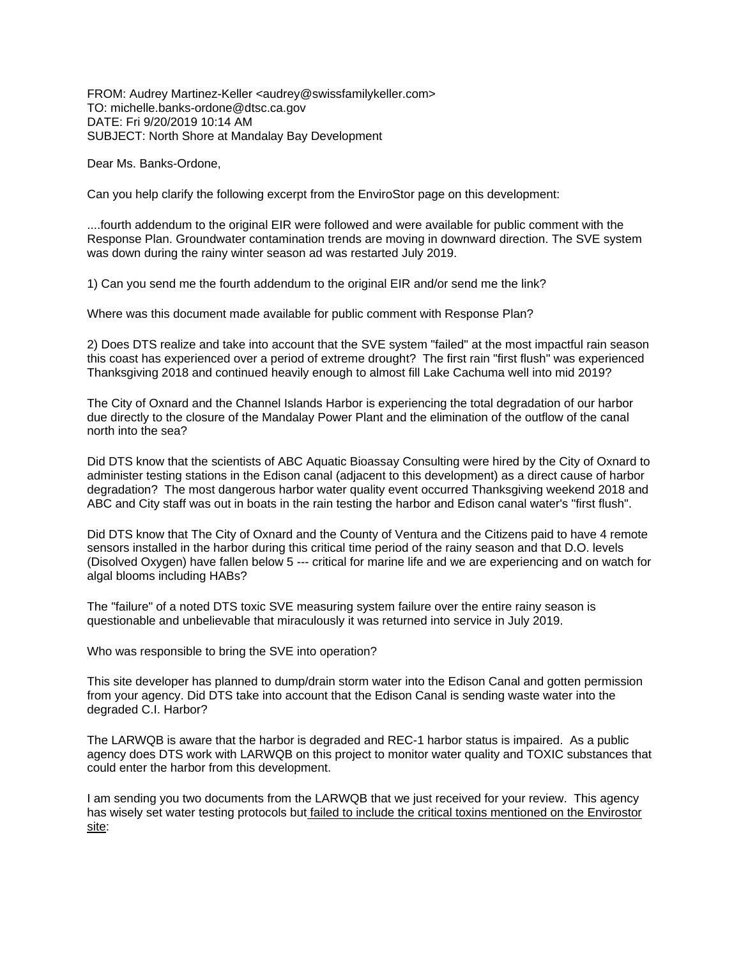FROM: Audrey Martinez-Keller <audrey@swissfamilykeller.com> TO: michelle.banks-ordone@dtsc.ca.gov DATE: Fri 9/20/2019 10:14 AM SUBJECT: North Shore at Mandalay Bay Development

Dear Ms. Banks-Ordone,

Can you help clarify the following excerpt from the EnviroStor page on this development:

....fourth addendum to the original EIR were followed and were available for public comment with the Response Plan. Groundwater contamination trends are moving in downward direction. The SVE system was down during the rainy winter season ad was restarted July 2019.

1) Can you send me the fourth addendum to the original EIR and/or send me the link?

Where was this document made available for public comment with Response Plan?

2) Does DTS realize and take into account that the SVE system "failed" at the most impactful rain season this coast has experienced over a period of extreme drought? The first rain "first flush" was experienced Thanksgiving 2018 and continued heavily enough to almost fill Lake Cachuma well into mid 2019?

The City of Oxnard and the Channel Islands Harbor is experiencing the total degradation of our harbor due directly to the closure of the Mandalay Power Plant and the elimination of the outflow of the canal north into the sea?

Did DTS know that the scientists of ABC Aquatic Bioassay Consulting were hired by the City of Oxnard to administer testing stations in the Edison canal (adjacent to this development) as a direct cause of harbor degradation? The most dangerous harbor water quality event occurred Thanksgiving weekend 2018 and ABC and City staff was out in boats in the rain testing the harbor and Edison canal water's "first flush".

Did DTS know that The City of Oxnard and the County of Ventura and the Citizens paid to have 4 remote sensors installed in the harbor during this critical time period of the rainy season and that D.O. levels (Disolved Oxygen) have fallen below 5 --- critical for marine life and we are experiencing and on watch for algal blooms including HABs?

The "failure" of a noted DTS toxic SVE measuring system failure over the entire rainy season is questionable and unbelievable that miraculously it was returned into service in July 2019.

Who was responsible to bring the SVE into operation?

This site developer has planned to dump/drain storm water into the Edison Canal and gotten permission from your agency. Did DTS take into account that the Edison Canal is sending waste water into the degraded C.I. Harbor?

The LARWQB is aware that the harbor is degraded and REC-1 harbor status is impaired. As a public agency does DTS work with LARWQB on this project to monitor water quality and TOXIC substances that could enter the harbor from this development.

I am sending you two documents from the LARWQB that we just received for your review. This agency has wisely set water testing protocols but failed to include the critical toxins mentioned on the Envirostor site: